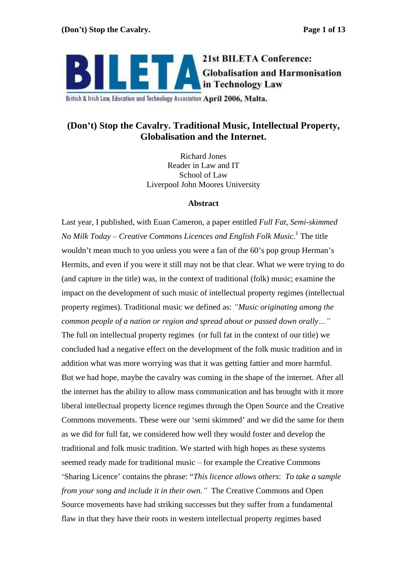

British & Irish Law, Education and Technology Association April 2006, Malta.

# **(Don t) Stop the Cavalry. Traditional Music, Intellectual Property, Globalisation and the Internet.**

Richard Jones Reader in Law and IT School of Law Liverpool John Moores University

### **Abstract**

Last year, I published, with Euan Cameron, a paper entitled *Full Fat, Semi-skimmed No Milk Today – Creative Commons Licences and English Folk Music.*<sup>1</sup> The title The title wouldn't mean much to you unless you were a fan of the 60's pop group Herman's Hermits, and even if you were it still may not be that clear. What we were trying to do (and capture in the title) was, in the context of traditional (folk) music; examine the impact on the development of such music of intellectual property regimes (intellectual property regimes). Traditional music we defined as: *Music originating among the common people of a nation or region and spread about or passed down orally* The full on intellectual property regimes (or full fat in the context of our title) we concluded had a negative effect on the development of the folk music tradition and in addition what was more worrying was that it was getting fattier and more harmful. But we had hope, maybe the cavalry was coming in the shape of the internet. After all the internet has the ability to allow mass communication and has brought with it more liberal intellectual property licence regimes through the Open Source and the Creative Commons movements. These were our 'semi skimmed' and we did the same for them as we did for full fat, we considered how well they would foster and develop the traditional and folk music tradition. We started with high hopes as these systems seemed ready made for traditional music – for example the Creative Commons Sharing Licence contains the phrase: *This licence allows others*: *To take a sample from your song and include it in their own.* The Creative Commons and Open Source movements have had striking successes but they suffer from a fundamental flaw in that they have their roots in western intellectual property regimes based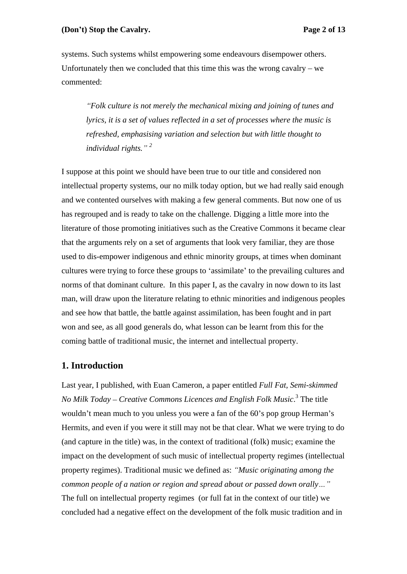### **(Don t) Stop the Cavalry. Page 2 of 13**

systems. Such systems whilst empowering some endeavours disempower others. Unfortunately then we concluded that this time this was the wrong cavalry – we commented: explorer commented:

*Folk culture is not merely the mechanical mixing and joining of tunes and lyrics, it is a set of values reflected in a set of processes where the music is refreshed, emphasising variation and selection but with little thought to individual rights. <sup>2</sup>*

I suppose at this point we should have been true to our title and considered non intellectual property systems, our no milk today option, but we had really said enough and we contented ourselves with making a few general comments. But now one of us has regrouped and is ready to take on the challenge. Digging a little more into the literature of those promoting initiatives such as the Creative Commons it became clear that the arguments rely on a set of arguments that look very familiar, they are those used to dis-empower indigenous and ethnic minority groups, at times when dominant cultures were trying to force these groups to 'assimilate' to the prevailing cultures and norms of that dominant culture. In this paper I, as the cavalry in now down to its last man, will draw upon the literature relating to ethnic minorities and indigenous peoples and see how that battle, the battle against assimilation, has been fought and in part won and see, as all good generals do, what lesson can be learnt from this for the coming battle of traditional music, the internet and intellectual property.

### **1. Introduction**

Last year, I published, with Euan Cameron, a paper entitled *Full Fat, Semi-skimmed No Milk Today – Creative Commons Licences and English Folk Music*.<sup>3</sup> The title The title wouldn't mean much to you unless you were a fan of the 60's pop group Herman's Hermits, and even if you were it still may not be that clear. What we were trying to do (and capture in the title) was, in the context of traditional (folk) music; examine the impact on the development of such music of intellectual property regimes (intellectual property regimes). Traditional music we defined as: *Music originating among the common people of a nation or region and spread about or passed down orally* The full on intellectual property regimes (or full fat in the context of our title) we concluded had a negative effect on the development of the folk music tradition and in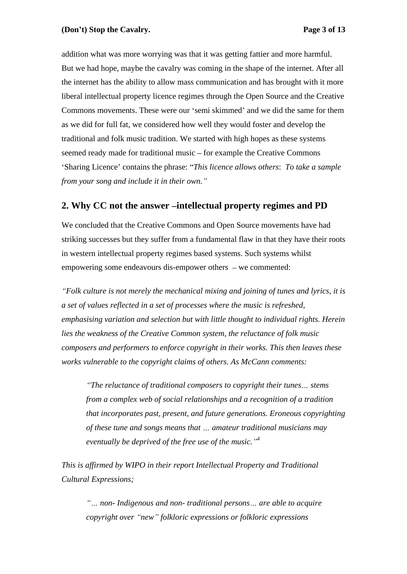addition what was more worrying was that it was getting fattier and more harmful. But we had hope, maybe the cavalry was coming in the shape of the internet. After all the internet has the ability to allow mass communication and has brought with it more liberal intellectual property licence regimes through the Open Source and the Creative Commons movements. These were our 'semi skimmed' and we did the same for them as we did for full fat, we considered how well they would foster and develop the traditional and folk music tradition. We started with high hopes as these systems seemed ready made for traditional music – for example the Creative Commons Sharing Licence contains the phrase: *This licence allows others*: *To take a sample from your song and include it in their own.*

# **2. Why CC not the answer-intellectual property regimes and PD**

We concluded that the Creative Commons and Open Source movements have had striking successes but they suffer from a fundamental flaw in that they have their roots in western intellectual property regimes based systems. Such systems whilst empowering some endeavours dis-empower others  $-$  we commented:

*Folk culture is not merely the mechanical mixing and joining of tunes and lyrics, it is a set of values reflected in a set of processes where the music is refreshed, emphasising variation and selection but with little thought to individual rights. Herein lies the weakness of the Creative Common system, the reluctance of folk music composers and performers to enforce copyright in their works. This then leaves these works vulnerable to the copyright claims of others. As McCann comments:* 

*The reluctance of traditional composers to copyright their tunes stems from a complex web of social relationships and a recognition of a tradition that incorporates past, present, and future generations. Eroneous copyrighting of these tune and songs means that amateur traditional musicians may eventually be deprived of the free use of the music. <sup>4</sup>*

*This is af irmed by WIPO in their report Intellectual Property and Traditional Cultural Expressions;*

*non- Indigenous and non- traditional persons are able to acquire copyright over new folkloric expressions or folkloric expressions*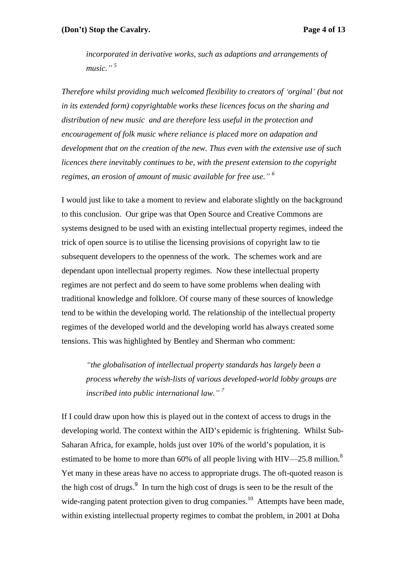### **(Don t) Stop the Cavalry. Page 4 of 13**

*incorporated in derivative works, such as adaptions and arrangements of*  music.<sup>" 5</sup>

*Therefore whilst providing much welcomed flexibility to creators of orginal (but not in its extended form) copyrightable works these licences focus on the sharing and distribution of new music and are therefore less useful in the protection and encouragement of folk music where reliance is placed more on adapation and development that on the creation of the new. Thus even with the extensive use of such licences there inevitably continues to be, with the present extension to the copyright regimes, an erosion of amount of music available for free use. <sup>6</sup>*

I would just like to take a moment to review and elaborate slightly on the background to this conclusion. Our gripe was that Open Source and Creative Commons are systems designed to be used with an existing intellectual property regimes, indeed the trick of open source is to utilise the licensing provisions of copyright law to tie subsequent developers to the openness of the work. The schemes work and are dependant upon intellectual property regimes. Now these intellectual property regimes are not perfect and do seem to have some problems when dealing with traditional knowledge and folklore. Of course many of these sources of knowledge tend to be within the developing world. The relationship of the intellectual property regimes of the developed world and the developing world has always created some tensions. This was highlighted by Bentley and Sherman who comment:

*the globalisation of intellectual property standards has largely been a process whereby the wish-lists of various developed-world lobby groups are inscribed into public international law. <sup>7</sup>*

If I could draw upon how this is played out in the context of access to drugs in the developing world. The context within the AID's epidemic is frightening. Whilst Sub-Saharan Africa, for example, holds just over 10% of the world's population, it is estimated to be home to more than 60% of all people living with HIV—25.8 million.<sup>8</sup> Yet many in these areas have no access to appropriate drugs. The oft-quoted reason is the high cost of drugs. $9$  In turn the high cost of drugs is seen to be the result of the wide-ranging patent protection given to drug companies.<sup>10</sup> Attempts have been made, within existing intellectual property regimes to combat the problem, in 2001 at Doha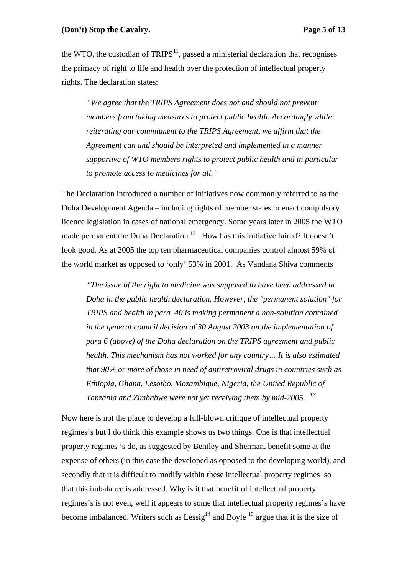#### **(Don t) Stop the Cavalry. Page 5 of 13**

the WTO, the custodian of  $TRIPS<sup>11</sup>$ , passed a ministerial declaration that recognises the primacy of right to life and health over the protection of intellectual property rights. The declaration states:

*We agree that the TRIPS Agreement does not and should not prevent members from taking measures to protect public health. Accordingly while reiterating our commitment to the TRIPS Agreement, we affirm that the Agreement can and should be interpreted and implemented in a manner supportive of WTO members rights to protect public health and in particular to promote access to medicines for all.*

The Declaration introduced a number of initiatives now commonly referred to as the Doha Development Agenda – including rights of member states to enact compulsory licence legislation in cases of national emergency. Some years later in 2005 the WTO made permanent the Doha Declaration.<sup>12</sup> How has this initiative faired? It doesn't look good. As at 2005 the top ten pharmaceutical companies control almost 59% of the world market as opposed to 'only' 53% in 2001. As Vandana Shiva comments

*The issue of the right to medicine was supposed to have been addressed in Doha in the public health declaration. However, the "permanent solution" for TRIPS and health in para. 40 is making permanent a non-solution contained in the general council decision of 30 August 2003 on the implementation of para 6 (above) of the Doha declaration on the TRIPS agreement and public health. This mechanism has not worked for any country It is also estimated that 90% or more of those in need of antiretroviral drugs in countries such as Ethiopia, Ghana, Lesotho, Mozambique, Nigeria, the United Republic of Tanzania and Zimbabwe were not yet receiving them by mid-2005.* <sup>13</sup>

Now here is not the place to develop a full-blown critique of intellectual property regimes's but I do think this example shows us two things. One is that intellectual property regimes 's do, as suggested by Bentley and Sherman, benefit some at the expense of others (in this case the developed as opposed to the developing world), and secondly that it is difficult to modify within these intellectual property regimes so that this imbalance is addressed. Why is it that benefit of intellectual property regimes's is not even, well it appears to some that intellectual property regimes's have become imbalanced. Writers such as  $\text{Lessig}^{14}$  and Boyle  $^{15}$  argue that it is the size of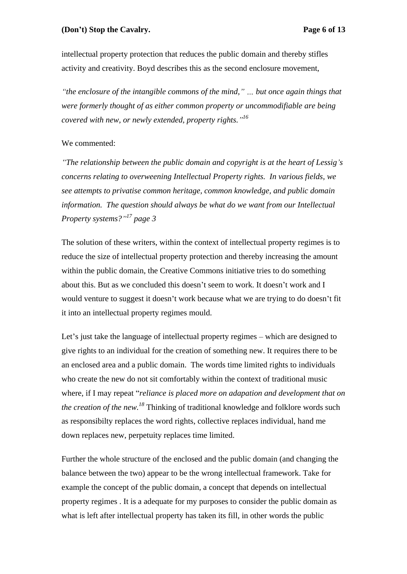intellectual property protection that reduces the public domain and thereby stifles activity and creativity. Boyd describes this as the second enclosure movement,

*the enclosure of the intangible commons of the mind,*  $\dot{b}$   $\dot{b}$  *m. but once again things that were formerly thought of as either common property or uncommodifiable are being covered with new, or newly extended, property rights. <sup>16</sup>*

### We commented:

*The relationship between the public domain and copyright is at the heart of Lessig s concerns relating to overweening Intellectual Property rights. In various fields, we see attempts to privatise common heritage, common knowledge, and public domain information. The question should always be what do we want from our Intellectual Property systems? 17 page 3*

The solution of these writers, within the context of intellectual property regimes is to reduce the size of intellectual property protection and thereby increasing the amount within the public domain, the Creative Commons initiative tries to do something about this. But as we concluded this doesn't seem to work. It doesn't work and I would venture to suggest it doesn't work because what we are trying to do doesn't fit it into an intellectual property regimes mould.

Let's just take the language of intellectual property regimes – which are designed to give rights to an individual for the creation of something new. It requires there to be an enclosed area and a public domain. The words time limited rights to individuals who create the new do not sit comfortably within the context of traditional music where, if I may repeat "*reliance is placed more on adapation and development that on the creation of the new.18* Thinking of traditional knowledge and folklore words such as responsibilty replaces the word rights, collective replaces individual, hand me down replaces new, perpetuity replaces time limited.

Further the whole structure of the enclosed and the public domain (and changing the balance between the two) appear to be the wrong intellectual framework. Take for example the concept of the public domain, a concept that depends on intellectual property regimes . It is a adequate for my purposes to consider the public domain as what is left after intellectual property has taken its fill, in other words the public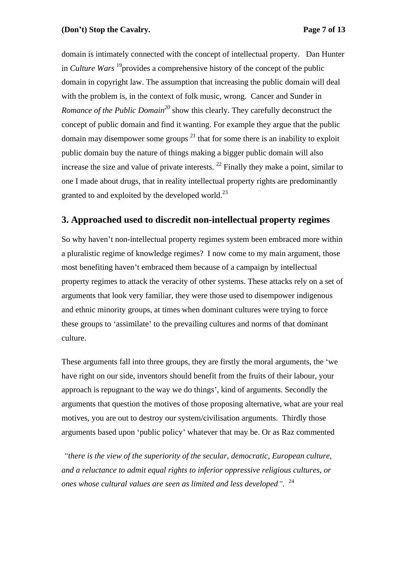domain is intimately connected with the concept of intellectual property. Dan Hunter in *Culture Wars* <sup>19</sup> provides a comprehensive history of the concept of the public domain in copyright law. The assumption that increasing the public domain will deal with the problem is, in the context of folk music, wrong. Cancer and Sunder in *Romance of the Public Domain<sup>20</sup>* show this clearly. They carefully deconstruct the concept of public domain and find it wanting. For example they argue that the public domain may disempower some groups  $2<sup>1</sup>$  that for some there is an inability to exploit public domain buy the nature of things making a bigger public domain will also increase the size and value of private interests.  $^{22}$  Finally they make a point, similar to one I made about drugs, that in reality intellectual property rights are predominantly granted to and exploited by the developed world.<sup>23</sup>

# **3. Approached used to discredit non-intellectual property regimes**

So why haven't non-intellectual property regimes system been embraced more within a pluralistic regime of knowledge regimes? I now come to my main argument, those most benefiting haven't embraced them because of a campaign by intellectual property regimes to attack the veracity of other systems. These attacks rely on a set of arguments that look very familiar, they were those used to disempower indigenous and ethnic minority groups, at times when dominant cultures were trying to force these groups to 'assimilate' to the prevailing cultures and norms of that dominant culture.

These arguments fall into three groups, they are firstly the moral arguments, the 'we have right on our side, inventors should benefit from the fruits of their labour, your approach is repugnant to the way we do things', kind of arguments. Secondly the arguments that question the motives of those proposing alternative, what are your real motives, you are out to destroy our system/civilisation arguments. Thirdly those arguments based upon 'public policy' whatever that may be. Or as Raz commented

*there is the view of the superiority of the secular, democratic, European culture, and a reluctance to admit equal rights to inferior oppressive religious cultures, or ones whose cultural values are seen as limited and less developed .* <sup>24</sup>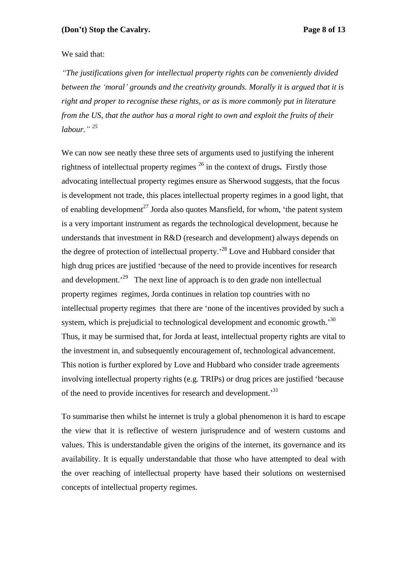### We said that:

*The justifications given for intellectual property rights can be conveniently divided between the moral grounds and the creativity grounds. Morally it is argued that it is right and proper to recognise these rights, or as is more commonly put in literature from the US, that the author has a moral right to own and exploit the fruits of their labour. <sup>25</sup>*

We can now see neatly these three sets of arguments used to justifying the inherent rightness of intellectual property regimes 26 in the context of drugs**.** Firstly those advocating intellectual property regimes ensure as Sherwood suggests, that the focus is development not trade, this places intellectual property regimes in a good light, that of enabling development<sup>27</sup> Jorda also quotes Mansfield, for whom, 'the patent system is a very important instrument as regards the technological development, because he understands that investment in R&D (research and development) always depends on the degree of protection of intellectual property.<sup>28</sup> Love and Hubbard consider that high drug prices are justified 'because of the need to provide incentives for research and development.<sup> $29$ </sup> The next line of approach is to den grade non intellectual property regimes regimes, Jorda continues in relation top countries with no intellectual property regimes that there are 'none of the incentives provided by such a system, which is prejudicial to technological development and economic growth.<sup>30</sup> Thus, it may be surmised that, for Jorda at least, intellectual property rights are vital to the investment in, and subsequently encouragement of, technological advancement. This notion is further explored by Love and Hubbard who consider trade agreements involving intellectual property rights (e.g. TRIPs) or drug prices are justified because of the need to provide incentives for research and development.<sup>31</sup>

 To summarise then whilst he internet is truly a global phenomenon it is hard to escape the view that it is reflective of western jurisprudence and of western customs and values. This is understandable given the origins of the internet, its governance and its availability. It is equally understandable that those who have attempted to deal with the over reaching of intellectual property have based their solutions on westernised concepts of intellectual property regimes.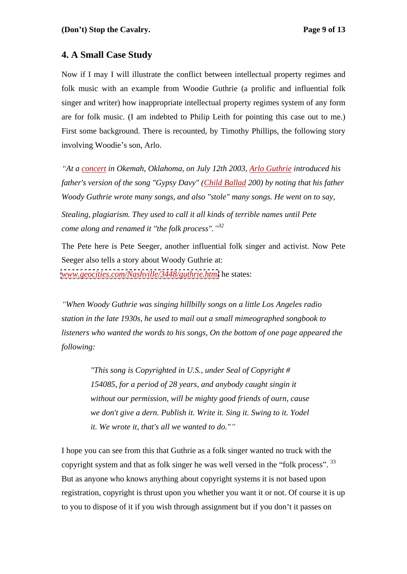# **4. A Small Case Study**

Now if I may I will illustrate the conflict between intellectual property regimes and folk music with an example from Woodie Guthrie (a prolific and influential folk singer and writer) how inappropriate intellectual property regimes system of any form are for folk music. (I am indebted to Philip Leith for pointing this case out to me.) First some background. There is recounted, by Timothy Phillips, the following story involving Woodie's son, Arlo.

*At a concert in Okemah, Oklahoma, on July 12th 2003, Arlo Guthrie introduced his father's version of the song "Gypsy Davy" (Child Ballad 200) by noting that his father Woody Guthrie wrote many songs, and also "stole" many songs. He went on to say, Stealing, plagiarism. They used to call it all kindsof terrible names until Pete come along and renamed it "the folk process". <sup>32</sup>*

The Pete here is Pete Seeger, another influential folk singer and activist. Now Pete Seeger also tells a story about Woody Guthrie at:

*[www.geocities.com/Nashville/3448/guthrie.html](http://www.geocities.com/Nashville/3448/guthrie.html)* he states:

*When Woody Guthrie was singing hillbilly songs on a little Los Angeles radio station in the late 1930s, he used to mail out a small mimeographed songbook to listeners who wanted the words to his songs, On the bottom of one page appeared the following: "This song is Copyrighted in U.S., under Seal of Copyright #* 

*154085, for a period of 28 years, and anybody caught singin it without our permission, will be mighty good friends of ourn, cause we don't give a dern. Publish it. Write it. Sing it. Swing to it. Yodel it. We wrote it, that's all we wanted to do."*

I hope you can see from this that Guthrie as a folk singer wanted no truck with the copyright system and that as folk singer he was well versed in the "folk process". <sup>33</sup> But as anyone who knows anything about copyright systems it is not based upon registration, copyright is thrust upon you whether you want it or not. Of course it is up to you to dispose of it if you wish through assignment but if you don't it passes on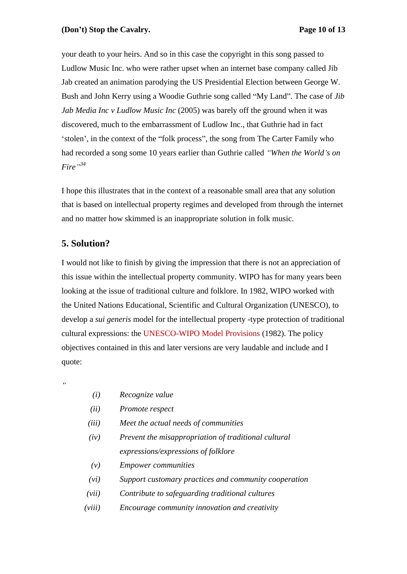your death to your heirs. And so in this case the copyright in this song passed to Ludlow Music Inc. who were rather upset when an internet base company called Jib Jab created an animation parodying the US Presidential Election between George W. Bush and John Kerry using a Woodie Guthrie song called "My Land". The case of *Jib Jab Media Inc v Ludlow Music Inc* (2005) was barely off the ground when it was discovered, much to the embarrassment of Ludlow Inc., that Guthrie had in fact 'stolen', in the context of the "folk process", the song from The Carter Family who had recorded a song some 10 years earlier than Guthrie called *When the World s on Fire 34*

I hope this illustrates that in the context of a reasonable small area that any solution that is based on intellectual property regimes and developed from through the internet and no matter how skimmed is an inappropriate solution in folk music.

# **5. Solution?**

I would not like to finish by giving the impression that there is not an appreciation of this issue within the intellectual property community. WIPO has for many years been looking at the issue of traditional culture and folklore. In 1982, WIPO worked with the United Nations Educational, Scientific and Cultural Organization (UNESCO), to develop a *sui generis* model for the intellectual property -type protection of traditional cultural expressions: the UNESCO-WIPO Model Provisions (1982). The policy objectives contained in this and later versions are very laudable and include and I quote: explorer contract the contract of the contract of the contract of the contract of the contract of the contract of the contract of the contract of the contract of the contract of the contract of the contract of the c

 $\alpha$ 

- *(i) Recognize value*
- *(ii) Promote respect*
- *(iii) Meet the actual needs of communities*
- *(iv) Prevent the misappropriation of traditional cultural expressions/expressions of folklore*
- *(v) Empower communities*
- *(vi) Support customary practices and community cooperation*
- *(vii) Contribute to safeguarding traditional cultures*
- *(viii) Encourage community innovation and creativity*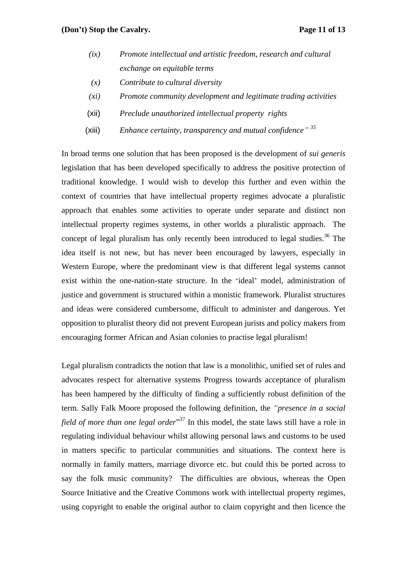### **(Don t) Stop the Cavalry. Page 11 of 13**

- *(ix) Promote intellectual and artistic freedom, research and cultural exchange on equitable terms*
- *(x) Contribute to cultural diversity*
- *(xi) Promote community development and legitimate trading activities*
- (xii) *Preclude unauthorized intellectual property rights*
- (xiii) *Enhance certainty, transparency and mutual confidence 35*

In broad terms one solution that has been proposed is the development of *sui generis* legislation that has been developed specifically to address the positive protection of traditional knowledge. I would wish to develop this further and even within the context of countries that have intellectual property regimes advocate a pluralistic approach that enables some activities to operate under separate and distinct non intellectual property regimes systems, in other worlds a pluralistic approach. The concept of legal pluralism has only recently been introduced to legal studies.<sup>36</sup> The idea itself is not new, but has never been encouraged by lawyers, especially in Western Europe, where the predominant view is that different legal systems cannot exist within the one-nation-state structure. In the 'ideal' model, administration of justice and government is structured within a monistic framework. Pluralist structures and ideas were considered cumbersome, difficult to administer and dangerous. Yet opposition to pluralist theory did not prevent European jurists and policy makers from encouraging former African and Asian colonies to practise legal pluralism!

Legal pluralism contradicts the notion that law is a monolithic, unified set of rules and advocates respect for alternative systems Progress towards acceptance of pluralism has been hampered by the difficulty of finding a sufficiently robust definition of the term. Sally Falk Moore proposed the following definition, the *"presence in a social field of more than one legal order* <sup>37</sup> In this model, the state laws still have a role in regulating individual behaviour whilst allowing personal laws and customs to be used in matters specific to particular communities and situations. The context here is normally in family matters, marriage divorce etc. but could this be ported across to say the folk music community? The difficulties are obvious, whereas the Open Source Initiative and the Creative Commons work with intellectual property regimes, using copyright to enable the original author to claim copyright and then licence the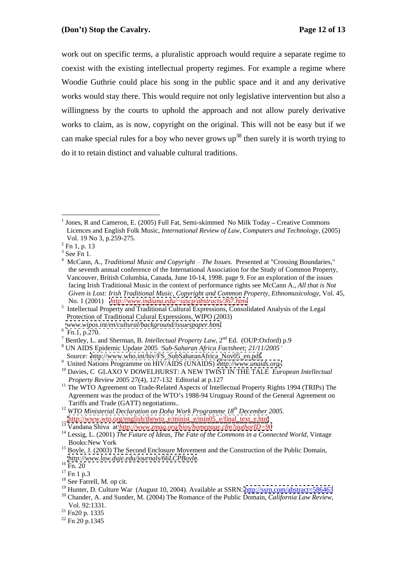work out on specific terms, a pluralistic approach would require a separate regime to coexist with the existing intellectual property regimes. For example a regime where Woodie Guthrie could place his song in the public space and it and any derivative works would stay there. This would require not only legislative intervention but also a willingness by the courts to uphold the approach and not allow purely derivative works to claim, as is now, copyright on the original. This will not be easy but if we can make special rules for a boy who never grows  $\mu$ <sup>38</sup> then surely it is worth trying to do it to retain distinct and valuable cultural traditions.

- UN AIDS Epidemic Update 2005 *Sub-Saharan Africa Factsheet; 21/11/2005*
- <sup>9</sup> United Nations Programme on HIV/AIDS (UNAIDS) http://www.unaids.org/

- <sup>11</sup> The WTO Agreement on Trade-Related Aspects of Intellectual Property Rights 1994 (TRIPs) The Agreement was the product of the WTO's 1988-94 Uruguay Round of the General Agreement on Tariffs and Trade (GATT) negotiations.. <sup>12</sup> *WTO Ministerial Declaration on Doha Work Programme 18th December 2005.*
- [http://www.wto.org/english/thewto\\_e/minist\\_e/min05\\_e/final\\_text\\_e.htm](http://www.wto.org/english/thewto_e/minist_e/min05_e/final_text_e.htm)

<sup>&</sup>lt;sup>1</sup> Jones, R and Cameron, E. (2005) Full Fat, Semi-skimmed No Milk Today – Creative Commons Licences and English Folk Music, *International Review of Law, Computers and Technology*, (2005) Vol. 19 No 3, p.259-275.<br> $^{2}$  En 1, p. 12

Fn 1, p. 13

 $3\,\mathrm{Co}\,\mathrm{En}\,1$ 

<sup>&</sup>lt;sup>3</sup> See Fn 1.<br><sup>4</sup> McCann, A., *Traditional Music and Copyright – The Issues*. Presented at "Crossing Boundaries," the seventh annual conference of the International Association for the Study of Common Property, Vancouver, British Columbia, Canada, June 10-14, 1998. page 9. For an exploration of the issues facing Irish Traditional Music in the context of performance rights see McCann A., *All that is Not Given is Lost: Irish Traditional Music, Copyright and Common Property, Ethnomusicology*, Vol. 45,

No. 1 (2001) *<http://www.indiana.edu/~iascp/abstracts/367.html>*<br>
<sup>5</sup> Intellectual Property and Traditional Cultural Expressions, Consolidated Analysis of the Legal Protection of Traditional Culural Expressions, WIPO (2003)

*www.wipos.int/en/cultural/background/issuespaper.html* 6

<sup>&</sup>lt;sup>6</sup> Fn.1, p.270.<br><sup>7</sup> Pantlay, L. and Sharman, P. *Intellectual Property L.c.*y. 2<sup>nd</sup> Ed. *(OUD*:Orford).p.0. Bentley, L. and Sherman, B. *Intellectual Property Law*,  $2^{nd}$  Ed. (OUP:Oxford) p.9<br><sup>8</sup> UN AIDS Enidemic Undata 2005. 'Sub-Schengn Africa Eastsbest:  $21/11/2005$ '

<sup>&</sup>lt;sup>10</sup> Davies, C GLAXO V DOWELHURST: A NEW TWIST IN THE TALE *European Intellectual Property Review* 2005 27(4), 127-132 Editorial at p.127

<sup>13</sup> Vandana Shiva at *<http://www.zmag.org/bios/homepage.cfm?authorID=90>*

<sup>&</sup>lt;sup>14</sup> Lessig, L. (2001) *The Future of Ideas, The Fate of the Commons in a Connected World*, Vintage Books:New York

<sup>15</sup> Boyle, J. (2003) The Second Enclosure Movement and the Construction of the Public Domain*, <http://www.law.duje.edu/journals/66LCPBoyle>.*<br><sup>16</sup> Fn. 20<br><sup>17</sup> Fn 1 p.3<br><sup>18</sup> See Farrell, M. op cit.

<sup>&</sup>lt;sup>18</sup> See Farrell, M. op cit.<br><sup>19</sup> Hunter, D. Culture War (August 10, 2004). Available at SSRN: <u>http://ssrn.com/abstract=586463</u>

<sup>20</sup> Chander, A. and Sunder, M. (2004) The Romance of the Public Domain, *California Law Review,* Vol. 92:1331.<br><sup>21</sup> Fn20 p. 1335

<sup>&</sup>lt;sup>21</sup> Fn 20 p. 1335<br><sup>22</sup> Fn 20 p. 1345